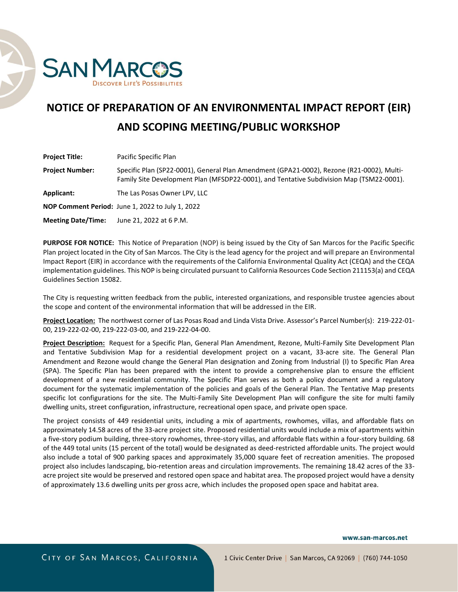

## **NOTICE OF PREPARATION OF AN ENVIRONMENTAL IMPACT REPORT (EIR) AND SCOPING MEETING/PUBLIC WORKSHOP**

| <b>Project Title:</b>     | Pacific Specific Plan                                                                                                                                                                 |
|---------------------------|---------------------------------------------------------------------------------------------------------------------------------------------------------------------------------------|
| <b>Project Number:</b>    | Specific Plan (SP22-0001), General Plan Amendment (GPA21-0002), Rezone (R21-0002), Multi-<br>Family Site Development Plan (MFSDP22-0001), and Tentative Subdivision Map (TSM22-0001). |
| Applicant:                | The Las Posas Owner LPV, LLC                                                                                                                                                          |
|                           | NOP Comment Period: June 1, 2022 to July 1, 2022                                                                                                                                      |
| <b>Meeting Date/Time:</b> | June 21, 2022 at 6 P.M.                                                                                                                                                               |

**PURPOSE FOR NOTICE:** This Notice of Preparation (NOP) is being issued by the City of San Marcos for the Pacific Specific Plan project located in the City of San Marcos. The City is the lead agency for the project and will prepare an Environmental Impact Report (EIR) in accordance with the requirements of the California Environmental Quality Act (CEQA) and the CEQA implementation guidelines. This NOP is being circulated pursuant to California Resources Code Section 211153(a) and CEQA Guidelines Section 15082.

The City is requesting written feedback from the public, interested organizations, and responsible trustee agencies about the scope and content of the environmental information that will be addressed in the EIR.

**Project Location:** The northwest corner of Las Posas Road and Linda Vista Drive. Assessor's Parcel Number(s): 219-222-01- 00, 219-222-02-00, 219-222-03-00, and 219-222-04-00.

**Project Description:** Request for a Specific Plan, General Plan Amendment, Rezone, Multi-Family Site Development Plan and Tentative Subdivision Map for a residential development project on a vacant, 33-acre site. The General Plan Amendment and Rezone would change the General Plan designation and Zoning from Industrial (I) to Specific Plan Area (SPA). The Specific Plan has been prepared with the intent to provide a comprehensive plan to ensure the efficient development of a new residential community. The Specific Plan serves as both a policy document and a regulatory document for the systematic implementation of the policies and goals of the General Plan. The Tentative Map presents specific lot configurations for the site. The Multi-Family Site Development Plan will configure the site for multi family dwelling units, street configuration, infrastructure, recreational open space, and private open space.

The project consists of 449 residential units, including a mix of apartments, rowhomes, villas, and affordable flats on approximately 14.58 acres of the 33-acre project site. Proposed residential units would include a mix of apartments within a five-story podium building, three-story rowhomes, three-story villas, and affordable flats within a four-story building. 68 of the 449 total units (15 percent of the total) would be designated as deed-restricted affordable units. The project would also include a total of 900 parking spaces and approximately 35,000 square feet of recreation amenities. The proposed project also includes landscaping, bio-retention areas and circulation improvements. The remaining 18.42 acres of the 33 acre project site would be preserved and restored open space and habitat area. The proposed project would have a density of approximately 13.6 dwelling units per gross acre, which includes the proposed open space and habitat area.

www.san-marcos.net

CITY OF SAN MARCOS, CALIFORNIA

1 Civic Center Drive | San Marcos, CA 92069 | (760) 744-1050